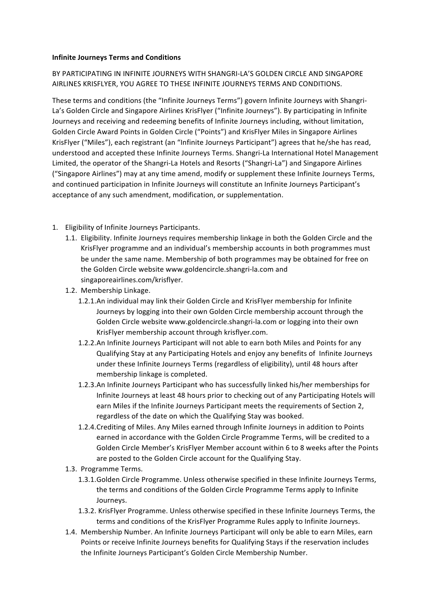### **Infinite Journeys Terms and Conditions**

BY PARTICIPATING IN INFINITE JOURNEYS WITH SHANGRI-LA'S GOLDEN CIRCLE AND SINGAPORE AIRLINES KRISFLYER, YOU AGREE TO THESE INFINITE JOURNEYS TERMS AND CONDITIONS.

These terms and conditions (the "Infinite Journeys Terms") govern Infinite Journeys with Shangri-La's Golden Circle and Singapore Airlines KrisFlyer ("Infinite Journeys"). By participating in Infinite Journeys and receiving and redeeming benefits of Infinite Journeys including, without limitation, Golden Circle Award Points in Golden Circle ("Points") and KrisFlyer Miles in Singapore Airlines KrisFlyer ("Miles"), each registrant (an "Infinite Journeys Participant") agrees that he/she has read, understood and accepted these Infinite Journeys Terms. Shangri-La International Hotel Management Limited, the operator of the Shangri-La Hotels and Resorts ("Shangri-La") and Singapore Airlines ("Singapore Airlines") may at any time amend, modify or supplement these Infinite Journeys Terms, and continued participation in Infinite Journeys will constitute an Infinite Journeys Participant's acceptance of any such amendment, modification, or supplementation.

- 1. Eligibility of Infinite Journeys Participants.
	- 1.1. Eligibility. Infinite Journeys requires membership linkage in both the Golden Circle and the KrisFlyer programme and an individual's membership accounts in both programmes must be under the same name. Membership of both programmes may be obtained for free on the Golden Circle website www.goldencircle.shangri-la.com and singaporeairlines.com/krisflyer.
	- 1.2. Membership Linkage.
		- 1.2.1.An individual may link their Golden Circle and KrisFlyer membership for Infinite Journeys by logging into their own Golden Circle membership account through the Golden Circle website www.goldencircle.shangri-la.com or logging into their own KrisFlyer membership account through krisflyer.com.
		- 1.2.2.An Infinite Journeys Participant will not able to earn both Miles and Points for any Qualifying Stay at any Participating Hotels and enjoy any benefits of Infinite Journeys under these Infinite Journeys Terms (regardless of eligibility), until 48 hours after membership linkage is completed.
		- 1.2.3.An Infinite Journeys Participant who has successfully linked his/her memberships for Infinite Journeys at least 48 hours prior to checking out of any Participating Hotels will earn Miles if the Infinite Journeys Participant meets the requirements of Section 2, regardless of the date on which the Qualifying Stay was booked.
		- 1.2.4. Crediting of Miles. Any Miles earned through Infinite Journeys in addition to Points earned in accordance with the Golden Circle Programme Terms, will be credited to a Golden Circle Member's KrisFlyer Member account within 6 to 8 weeks after the Points are posted to the Golden Circle account for the Qualifying Stay.
	- 1.3. Programme Terms.
		- 1.3.1.Golden Circle Programme. Unless otherwise specified in these Infinite Journeys Terms, the terms and conditions of the Golden Circle Programme Terms apply to Infinite Journeys.
		- 1.3.2. KrisFlyer Programme. Unless otherwise specified in these Infinite Journeys Terms, the terms and conditions of the KrisFlyer Programme Rules apply to Infinite Journeys.
	- 1.4. Membership Number. An Infinite Journeys Participant will only be able to earn Miles, earn Points or receive Infinite Journeys benefits for Qualifying Stays if the reservation includes the Infinite Journeys Participant's Golden Circle Membership Number.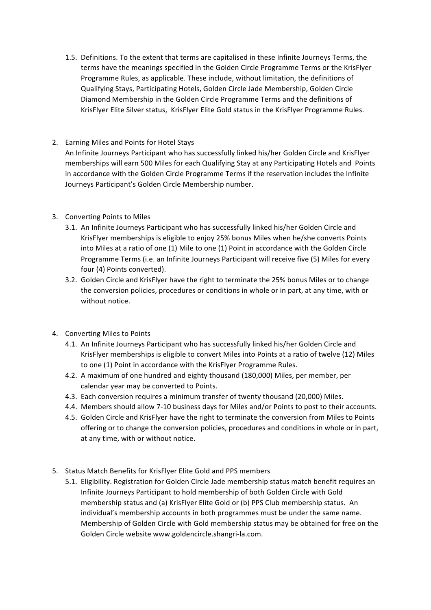1.5. Definitions. To the extent that terms are capitalised in these Infinite Journeys Terms, the terms have the meanings specified in the Golden Circle Programme Terms or the KrisFlyer Programme Rules, as applicable. These include, without limitation, the definitions of Qualifying Stays, Participating Hotels, Golden Circle Jade Membership, Golden Circle Diamond Membership in the Golden Circle Programme Terms and the definitions of KrisFlyer Elite Silver status, KrisFlyer Elite Gold status in the KrisFlyer Programme Rules.

# 2. Earning Miles and Points for Hotel Stays

An Infinite Journeys Participant who has successfully linked his/her Golden Circle and KrisFlyer memberships will earn 500 Miles for each Qualifying Stay at any Participating Hotels and Points in accordance with the Golden Circle Programme Terms if the reservation includes the Infinite Journeys Participant's Golden Circle Membership number.

## 3. Converting Points to Miles

- 3.1. An Infinite Journeys Participant who has successfully linked his/her Golden Circle and KrisFlyer memberships is eligible to enjoy 25% bonus Miles when he/she converts Points into Miles at a ratio of one (1) Mile to one (1) Point in accordance with the Golden Circle Programme Terms (i.e. an Infinite Journeys Participant will receive five (5) Miles for every four (4) Points converted).
- 3.2. Golden Circle and KrisFlyer have the right to terminate the 25% bonus Miles or to change the conversion policies, procedures or conditions in whole or in part, at any time, with or without notice.

# 4. Converting Miles to Points

- 4.1. An Infinite Journeys Participant who has successfully linked his/her Golden Circle and KrisFlyer memberships is eligible to convert Miles into Points at a ratio of twelve (12) Miles to one (1) Point in accordance with the KrisFlyer Programme Rules.
- 4.2. A maximum of one hundred and eighty thousand (180,000) Miles, per member, per calendar vear may be converted to Points.
- 4.3. Each conversion requires a minimum transfer of twenty thousand (20,000) Miles.
- 4.4. Members should allow 7-10 business days for Miles and/or Points to post to their accounts.
- 4.5. Golden Circle and KrisFlyer have the right to terminate the conversion from Miles to Points offering or to change the conversion policies, procedures and conditions in whole or in part, at any time, with or without notice.
- 5. Status Match Benefits for KrisFlyer Elite Gold and PPS members
	- 5.1. Eligibility. Registration for Golden Circle Jade membership status match benefit requires an Infinite Journeys Participant to hold membership of both Golden Circle with Gold membership status and (a) KrisFlyer Elite Gold or (b) PPS Club membership status. An individual's membership accounts in both programmes must be under the same name. Membership of Golden Circle with Gold membership status may be obtained for free on the Golden Circle website www.goldencircle.shangri-la.com.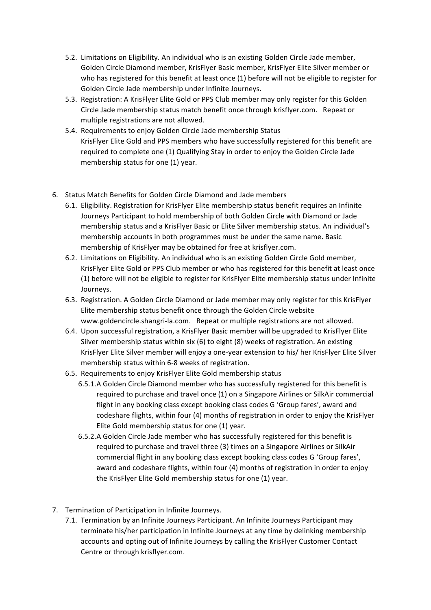- 5.2. Limitations on Eligibility. An individual who is an existing Golden Circle Jade member, Golden Circle Diamond member, KrisFlyer Basic member, KrisFlyer Elite Silver member or who has registered for this benefit at least once (1) before will not be eligible to register for Golden Circle Jade membership under Infinite Journeys.
- 5.3. Registration: A KrisFlyer Elite Gold or PPS Club member may only register for this Golden Circle Jade membership status match benefit once through krisflyer.com. Repeat or multiple registrations are not allowed.
- 5.4. Requirements to enjoy Golden Circle Jade membership Status KrisFlyer Elite Gold and PPS members who have successfully registered for this benefit are required to complete one (1) Qualifying Stay in order to enjoy the Golden Circle Jade membership status for one (1) year.
- 6. Status Match Benefits for Golden Circle Diamond and Jade members
	- 6.1. Eligibility. Registration for KrisFlyer Elite membership status benefit requires an Infinite Journeys Participant to hold membership of both Golden Circle with Diamond or Jade membership status and a KrisFlyer Basic or Elite Silver membership status. An individual's membership accounts in both programmes must be under the same name. Basic membership of KrisFlyer may be obtained for free at krisflyer.com.
	- 6.2. Limitations on Eligibility. An individual who is an existing Golden Circle Gold member, KrisFlyer Elite Gold or PPS Club member or who has registered for this benefit at least once (1) before will not be eligible to register for KrisFlyer Elite membership status under Infinite Journeys.
	- 6.3. Registration. A Golden Circle Diamond or Jade member may only register for this KrisFlyer Elite membership status benefit once through the Golden Circle website www.goldencircle.shangri-la.com. Repeat or multiple registrations are not allowed.
	- 6.4. Upon successful registration, a KrisFlyer Basic member will be upgraded to KrisFlyer Elite Silver membership status within six  $(6)$  to eight  $(8)$  weeks of registration. An existing KrisFlyer Elite Silver member will enjoy a one-year extension to his/ her KrisFlyer Elite Silver membership status within 6-8 weeks of registration.
	- 6.5. Requirements to enjoy KrisFlyer Elite Gold membership status
		- 6.5.1.A Golden Circle Diamond member who has successfully registered for this benefit is required to purchase and travel once (1) on a Singapore Airlines or SilkAir commercial flight in any booking class except booking class codes G 'Group fares', award and codeshare flights, within four (4) months of registration in order to enjoy the KrisFlyer Elite Gold membership status for one  $(1)$  year.
		- 6.5.2.A Golden Circle Jade member who has successfully registered for this benefit is required to purchase and travel three (3) times on a Singapore Airlines or SilkAir commercial flight in any booking class except booking class codes G 'Group fares', award and codeshare flights, within four  $(4)$  months of registration in order to enjoy the KrisFlyer Elite Gold membership status for one (1) year.
- 7. Termination of Participation in Infinite Journeys.
	- 7.1. Termination by an Infinite Journeys Participant. An Infinite Journeys Participant may terminate his/her participation in Infinite Journeys at any time by delinking membership accounts and opting out of Infinite Journeys by calling the KrisFlyer Customer Contact Centre or through krisflyer.com.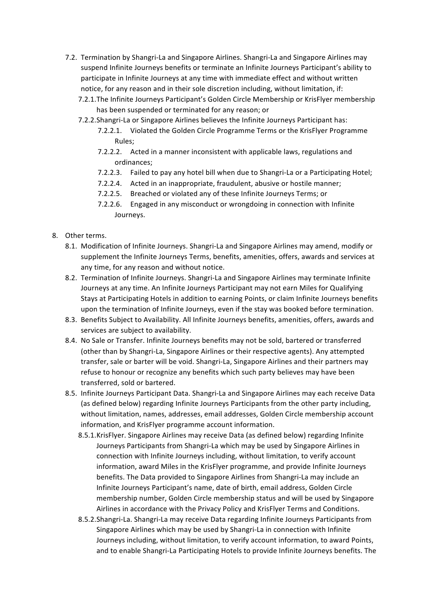- 7.2. Termination by Shangri-La and Singapore Airlines. Shangri-La and Singapore Airlines may suspend Infinite Journeys benefits or terminate an Infinite Journeys Participant's ability to participate in Infinite Journeys at any time with immediate effect and without written notice, for any reason and in their sole discretion including, without limitation, if:
	- 7.2.1. The Infinite Journeys Participant's Golden Circle Membership or KrisFlyer membership has been suspended or terminated for any reason; or
	- 7.2.2.Shangri-La or Singapore Airlines believes the Infinite Journeys Participant has:
		- 7.2.2.1. Violated the Golden Circle Programme Terms or the KrisFlyer Programme Rules;
		- 7.2.2.2. Acted in a manner inconsistent with applicable laws, regulations and ordinances;
		- 7.2.2.3. Failed to pay any hotel bill when due to Shangri-La or a Participating Hotel;
		- 7.2.2.4. Acted in an inappropriate, fraudulent, abusive or hostile manner;
		- 7.2.2.5. Breached or violated any of these Infinite Journeys Terms; or
		- 7.2.2.6. Engaged in any misconduct or wrongdoing in connection with Infinite Journeys.

## 8. Other terms.

- 8.1. Modification of Infinite Journeys. Shangri-La and Singapore Airlines may amend, modify or supplement the Infinite Journeys Terms, benefits, amenities, offers, awards and services at any time, for any reason and without notice.
- 8.2. Termination of Infinite Journeys. Shangri-La and Singapore Airlines may terminate Infinite Journeys at any time. An Infinite Journeys Participant may not earn Miles for Qualifying Stays at Participating Hotels in addition to earning Points, or claim Infinite Journeys benefits upon the termination of Infinite Journeys, even if the stay was booked before termination.
- 8.3. Benefits Subject to Availability. All Infinite Journeys benefits, amenities, offers, awards and services are subject to availability.
- 8.4. No Sale or Transfer. Infinite Journeys benefits may not be sold, bartered or transferred (other than by Shangri-La, Singapore Airlines or their respective agents). Any attempted transfer, sale or barter will be void. Shangri-La, Singapore Airlines and their partners may refuse to honour or recognize any benefits which such party believes may have been transferred, sold or bartered.
- 8.5. Infinite Journeys Participant Data. Shangri-La and Singapore Airlines may each receive Data (as defined below) regarding Infinite Journeys Participants from the other party including, without limitation, names, addresses, email addresses, Golden Circle membership account information, and KrisFlyer programme account information.
	- 8.5.1.KrisFlyer. Singapore Airlines may receive Data (as defined below) regarding Infinite Journeys Participants from Shangri-La which may be used by Singapore Airlines in connection with Infinite Journeys including, without limitation, to verify account information, award Miles in the KrisFlyer programme, and provide Infinite Journeys benefits. The Data provided to Singapore Airlines from Shangri-La may include an Infinite Journeys Participant's name, date of birth, email address, Golden Circle membership number, Golden Circle membership status and will be used by Singapore Airlines in accordance with the Privacy Policy and KrisFlyer Terms and Conditions.
	- 8.5.2.Shangri-La. Shangri-La may receive Data regarding Infinite Journeys Participants from Singapore Airlines which may be used by Shangri-La in connection with Infinite Journeys including, without limitation, to verify account information, to award Points, and to enable Shangri-La Participating Hotels to provide Infinite Journeys benefits. The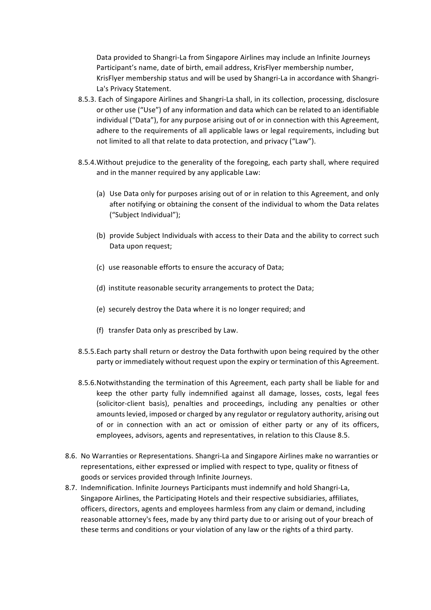Data provided to Shangri-La from Singapore Airlines may include an Infinite Journeys Participant's name, date of birth, email address, KrisFlyer membership number, KrisFlyer membership status and will be used by Shangri-La in accordance with Shangri-La's Privacy Statement.

- 8.5.3. Each of Singapore Airlines and Shangri-La shall, in its collection, processing, disclosure or other use ("Use") of any information and data which can be related to an identifiable individual ("Data"), for any purpose arising out of or in connection with this Agreement, adhere to the requirements of all applicable laws or legal requirements, including but not limited to all that relate to data protection, and privacy ("Law").
- 8.5.4. Without prejudice to the generality of the foregoing, each party shall, where required and in the manner required by any applicable Law:
	- (a) Use Data only for purposes arising out of or in relation to this Agreement, and only after notifying or obtaining the consent of the individual to whom the Data relates ("Subject Individual");
	- (b) provide Subject Individuals with access to their Data and the ability to correct such Data upon request;
	- (c) use reasonable efforts to ensure the accuracy of Data;
	- (d) institute reasonable security arrangements to protect the Data;
	- (e) securely destroy the Data where it is no longer required; and
	- (f) transfer Data only as prescribed by Law.
- 8.5.5.Each party shall return or destroy the Data forthwith upon being required by the other party or immediately without request upon the expiry or termination of this Agreement.
- 8.5.6. Notwithstanding the termination of this Agreement, each party shall be liable for and keep the other party fully indemnified against all damage, losses, costs, legal fees (solicitor-client basis), penalties and proceedings, including any penalties or other amounts levied, imposed or charged by any regulator or regulatory authority, arising out of or in connection with an act or omission of either party or any of its officers, employees, advisors, agents and representatives, in relation to this Clause 8.5.
- 8.6. No Warranties or Representations. Shangri-La and Singapore Airlines make no warranties or representations, either expressed or implied with respect to type, quality or fitness of goods or services provided through Infinite Journeys.
- 8.7. Indemnification. Infinite Journeys Participants must indemnify and hold Shangri-La, Singapore Airlines, the Participating Hotels and their respective subsidiaries, affiliates, officers, directors, agents and employees harmless from any claim or demand, including reasonable attorney's fees, made by any third party due to or arising out of your breach of these terms and conditions or your violation of any law or the rights of a third party.